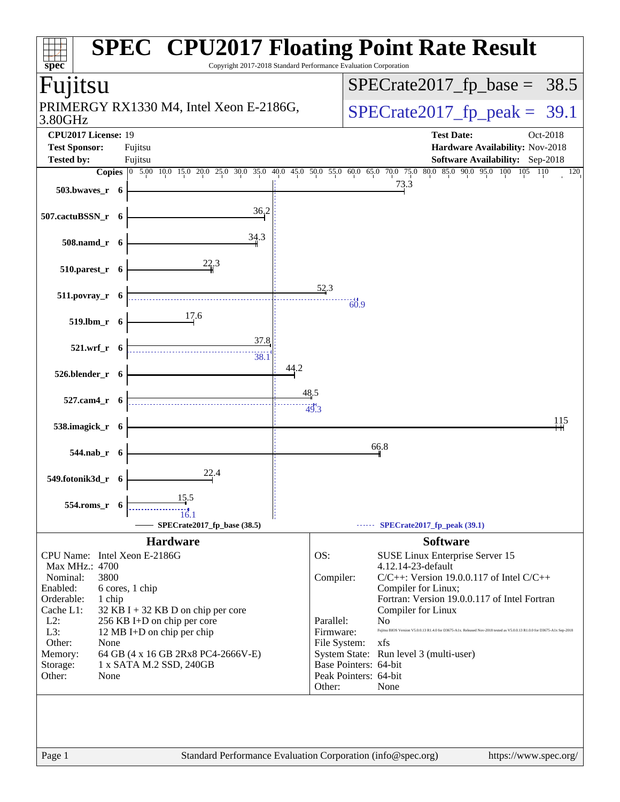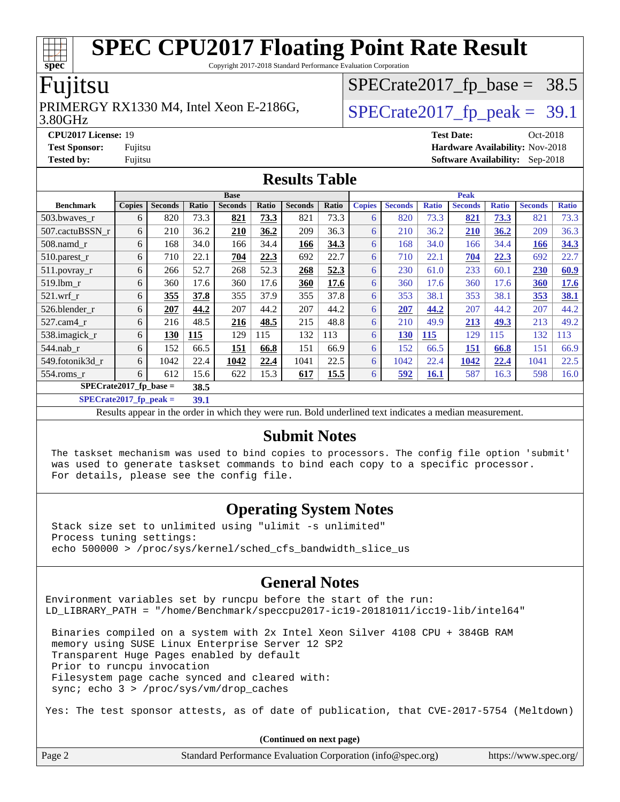Copyright 2017-2018 Standard Performance Evaluation Corporation

### Fujitsu

**[spec](http://www.spec.org/)**

#### 3.80GHz PRIMERGY RX1330 M4, Intel Xeon E-2186G,  $\vert$  [SPECrate2017\\_fp\\_peak =](http://www.spec.org/auto/cpu2017/Docs/result-fields.html#SPECrate2017fppeak) 39.1

 $SPECrate2017_fp\_base = 38.5$ 

**[CPU2017 License:](http://www.spec.org/auto/cpu2017/Docs/result-fields.html#CPU2017License)** 19 **[Test Date:](http://www.spec.org/auto/cpu2017/Docs/result-fields.html#TestDate)** Oct-2018 **[Test Sponsor:](http://www.spec.org/auto/cpu2017/Docs/result-fields.html#TestSponsor)** Fujitsu **[Hardware Availability:](http://www.spec.org/auto/cpu2017/Docs/result-fields.html#HardwareAvailability)** Nov-2018 **[Tested by:](http://www.spec.org/auto/cpu2017/Docs/result-fields.html#Testedby)** Fujitsu **[Software Availability:](http://www.spec.org/auto/cpu2017/Docs/result-fields.html#SoftwareAvailability)** Sep-2018

### **[Results Table](http://www.spec.org/auto/cpu2017/Docs/result-fields.html#ResultsTable)**

|                                  | <b>Base</b>   |                |       |                |       |                | <b>Peak</b> |               |                |              |                |              |                |              |
|----------------------------------|---------------|----------------|-------|----------------|-------|----------------|-------------|---------------|----------------|--------------|----------------|--------------|----------------|--------------|
| <b>Benchmark</b>                 | <b>Copies</b> | <b>Seconds</b> | Ratio | <b>Seconds</b> | Ratio | <b>Seconds</b> | Ratio       | <b>Copies</b> | <b>Seconds</b> | <b>Ratio</b> | <b>Seconds</b> | <b>Ratio</b> | <b>Seconds</b> | <b>Ratio</b> |
| 503.bwayes r                     | 6             | 820            | 73.3  | 821            | 73.3  | 821            | 73.3        | 6             | 820            | 73.3         | 821            | 73.3         | 821            | 73.3         |
| 507.cactuBSSN r                  | 6             | 210            | 36.2  | 210            | 36.2  | 209            | 36.3        | 6             | 210            | 36.2         | <b>210</b>     | 36.2         | 209            | 36.3         |
| 508.namd_r                       | 6             | 168            | 34.0  | 166            | 34.4  | 166            | 34.3        | 6             | 168            | 34.0         | 166            | 34.4         | 166            | 34.3         |
| $510$ .parest r                  | 6             | 710            | 22.1  | 704            | 22.3  | 692            | 22.7        | 6             | 710            | 22.1         | 704            | 22.3         | 692            | 22.7         |
| 511.povray_r                     | 6             | 266            | 52.7  | 268            | 52.3  | 268            | 52.3        | 6             | 230            | 61.0         | 233            | 60.1         | 230            | 60.9         |
| 519.1bm r                        | 6             | 360            | 17.6  | 360            | 17.6  | 360            | 17.6        | 6             | 360            | 17.6         | 360            | 17.6         | 360            | 17.6         |
| $521$ .wrf r                     | 6             | 355            | 37.8  | 355            | 37.9  | 355            | 37.8        | 6             | 353            | 38.1         | 353            | 38.1         | 353            | 38.1         |
| 526.blender r                    | 6             | 207            | 44.2  | 207            | 44.2  | 207            | 44.2        | 6             | 207            | 44.2         | 207            | 44.2         | 207            | 44.2         |
| 527.cam4 r                       | 6             | 216            | 48.5  | 216            | 48.5  | 215            | 48.8        | 6             | 210            | 49.9         | 213            | <u>49.3</u>  | 213            | 49.2         |
| 538.imagick_r                    | 6             | 130            | 115   | 129            | 115   | 132            | 113         | 6             | <u>130</u>     | 115          | 129            | 115          | 132            | 113          |
| $544$ .nab_r                     | 6             | 152            | 66.5  | 151            | 66.8  | 151            | 66.9        | 6             | 152            | 66.5         | 151            | 66.8         | 151            | 66.9         |
| 549.fotonik3d r                  | 6             | 1042           | 22.4  | 1042           | 22.4  | 1041           | 22.5        | 6             | 1042           | 22.4         | 1042           | 22.4         | 1041           | 22.5         |
| 554.roms r                       | 6             | 612            | 15.6  | 622            | 15.3  | 617            | 15.5        | 6             | 592            | <u>16.1</u>  | 587            | 16.3         | 598            | 16.0         |
| $SPECrate2017$ fp base =<br>38.5 |               |                |       |                |       |                |             |               |                |              |                |              |                |              |

**[SPECrate2017\\_fp\\_peak =](http://www.spec.org/auto/cpu2017/Docs/result-fields.html#SPECrate2017fppeak) 39.1**

Results appear in the [order in which they were run.](http://www.spec.org/auto/cpu2017/Docs/result-fields.html#RunOrder) Bold underlined text [indicates a median measurement.](http://www.spec.org/auto/cpu2017/Docs/result-fields.html#Median)

#### **[Submit Notes](http://www.spec.org/auto/cpu2017/Docs/result-fields.html#SubmitNotes)**

 The taskset mechanism was used to bind copies to processors. The config file option 'submit' was used to generate taskset commands to bind each copy to a specific processor. For details, please see the config file.

#### **[Operating System Notes](http://www.spec.org/auto/cpu2017/Docs/result-fields.html#OperatingSystemNotes)**

 Stack size set to unlimited using "ulimit -s unlimited" Process tuning settings: echo 500000 > /proc/sys/kernel/sched\_cfs\_bandwidth\_slice\_us

#### **[General Notes](http://www.spec.org/auto/cpu2017/Docs/result-fields.html#GeneralNotes)**

Environment variables set by runcpu before the start of the run: LD\_LIBRARY\_PATH = "/home/Benchmark/speccpu2017-ic19-20181011/icc19-lib/intel64"

 Binaries compiled on a system with 2x Intel Xeon Silver 4108 CPU + 384GB RAM memory using SUSE Linux Enterprise Server 12 SP2 Transparent Huge Pages enabled by default Prior to runcpu invocation Filesystem page cache synced and cleared with: sync; echo 3 > /proc/sys/vm/drop\_caches

Yes: The test sponsor attests, as of date of publication, that CVE-2017-5754 (Meltdown)

| (Continued on next page) |                                                             |                       |  |  |  |  |
|--------------------------|-------------------------------------------------------------|-----------------------|--|--|--|--|
| Page 2                   | Standard Performance Evaluation Corporation (info@spec.org) | https://www.spec.org/ |  |  |  |  |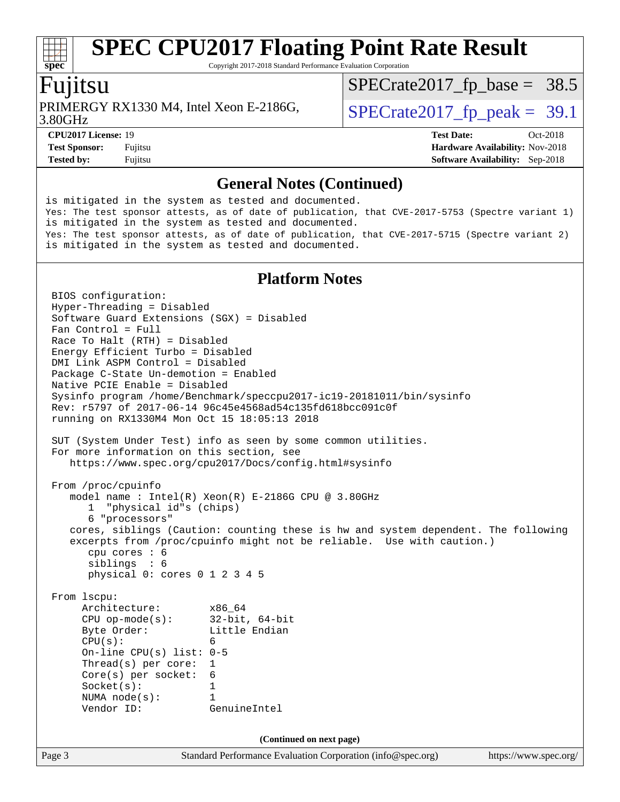Copyright 2017-2018 Standard Performance Evaluation Corporation

### Fujitsu

**[spec](http://www.spec.org/)**

3.80GHz PRIMERGY RX1330 M4, Intel Xeon E-2186G,  $\vert$  [SPECrate2017\\_fp\\_peak =](http://www.spec.org/auto/cpu2017/Docs/result-fields.html#SPECrate2017fppeak) 39.1

 $SPECTate2017_fp\_base = 38.5$ 

**[Tested by:](http://www.spec.org/auto/cpu2017/Docs/result-fields.html#Testedby)** Fujitsu **[Software Availability:](http://www.spec.org/auto/cpu2017/Docs/result-fields.html#SoftwareAvailability)** Sep-2018

**[CPU2017 License:](http://www.spec.org/auto/cpu2017/Docs/result-fields.html#CPU2017License)** 19 **[Test Date:](http://www.spec.org/auto/cpu2017/Docs/result-fields.html#TestDate)** Oct-2018 **[Test Sponsor:](http://www.spec.org/auto/cpu2017/Docs/result-fields.html#TestSponsor)** Fujitsu **Fundal** Fujitsu **[Hardware Availability:](http://www.spec.org/auto/cpu2017/Docs/result-fields.html#HardwareAvailability)** Nov-2018

#### **[General Notes \(Continued\)](http://www.spec.org/auto/cpu2017/Docs/result-fields.html#GeneralNotes)**

is mitigated in the system as tested and documented. Yes: The test sponsor attests, as of date of publication, that CVE-2017-5753 (Spectre variant 1) is mitigated in the system as tested and documented. Yes: The test sponsor attests, as of date of publication, that CVE-2017-5715 (Spectre variant 2) is mitigated in the system as tested and documented.

#### **[Platform Notes](http://www.spec.org/auto/cpu2017/Docs/result-fields.html#PlatformNotes)**

Page 3 Standard Performance Evaluation Corporation [\(info@spec.org\)](mailto:info@spec.org) <https://www.spec.org/> BIOS configuration: Hyper-Threading = Disabled Software Guard Extensions (SGX) = Disabled Fan Control = Full Race To Halt (RTH) = Disabled Energy Efficient Turbo = Disabled DMI Link ASPM Control = Disabled Package C-State Un-demotion = Enabled Native PCIE Enable = Disabled Sysinfo program /home/Benchmark/speccpu2017-ic19-20181011/bin/sysinfo Rev: r5797 of 2017-06-14 96c45e4568ad54c135fd618bcc091c0f running on RX1330M4 Mon Oct 15 18:05:13 2018 SUT (System Under Test) info as seen by some common utilities. For more information on this section, see <https://www.spec.org/cpu2017/Docs/config.html#sysinfo> From /proc/cpuinfo model name : Intel(R) Xeon(R) E-2186G CPU @ 3.80GHz 1 "physical id"s (chips) 6 "processors" cores, siblings (Caution: counting these is hw and system dependent. The following excerpts from /proc/cpuinfo might not be reliable. Use with caution.) cpu cores : 6 siblings : 6 physical 0: cores 0 1 2 3 4 5 From lscpu: Architecture: x86\_64 CPU op-mode(s): 32-bit, 64-bit Byte Order: Little Endian  $CPU(s):$  6 On-line CPU(s) list: 0-5 Thread(s) per core: 1 Core(s) per socket: 6 Socket(s): 1 NUMA node(s): 1 Vendor ID: GenuineIntel **(Continued on next page)**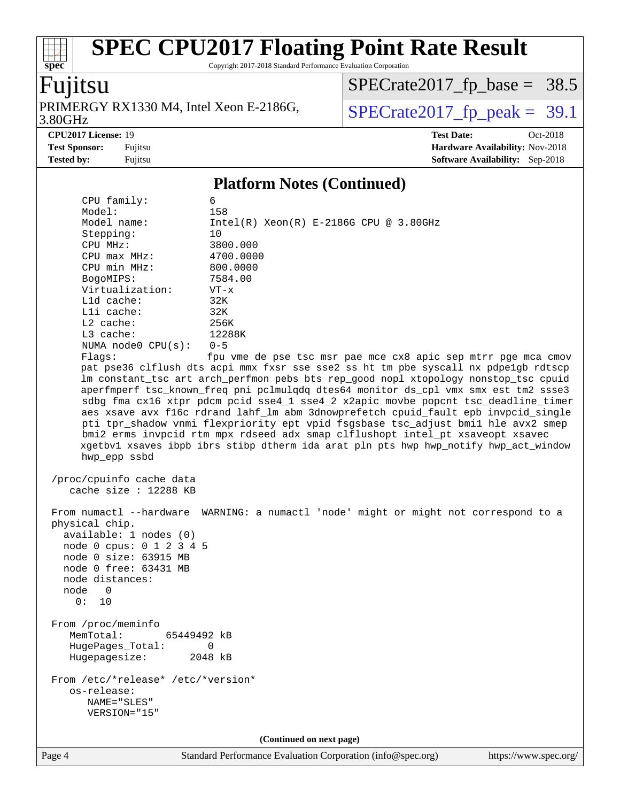Copyright 2017-2018 Standard Performance Evaluation Corporation

### Fujitsu

**[spec](http://www.spec.org/)**

3.80GHz PRIMERGY RX1330 M4, Intel Xeon E-2186G,  $\vert$  [SPECrate2017\\_fp\\_peak =](http://www.spec.org/auto/cpu2017/Docs/result-fields.html#SPECrate2017fppeak) 39.1

 $SPECTate2017_fp\_base = 38.5$ 

**[Tested by:](http://www.spec.org/auto/cpu2017/Docs/result-fields.html#Testedby)** Fujitsu **[Software Availability:](http://www.spec.org/auto/cpu2017/Docs/result-fields.html#SoftwareAvailability)** Sep-2018

**[CPU2017 License:](http://www.spec.org/auto/cpu2017/Docs/result-fields.html#CPU2017License)** 19 **[Test Date:](http://www.spec.org/auto/cpu2017/Docs/result-fields.html#TestDate)** Oct-2018 **[Test Sponsor:](http://www.spec.org/auto/cpu2017/Docs/result-fields.html#TestSponsor)** Fujitsu **[Hardware Availability:](http://www.spec.org/auto/cpu2017/Docs/result-fields.html#HardwareAvailability)** Nov-2018

#### **[Platform Notes \(Continued\)](http://www.spec.org/auto/cpu2017/Docs/result-fields.html#PlatformNotes)**

 CPU family: 6 Model: 158 Model name: Intel(R) Xeon(R) E-2186G CPU @ 3.80GHz Stepping: 10 CPU MHz: 3800.000 CPU max MHz: 4700.0000 CPU min MHz: 800.0000 BogoMIPS: 7584.00 Virtualization: VT-x L1d cache: 32K L1i cache: 32K L2 cache: 256K L3 cache: 12288K NUMA node0 CPU(s): 0-5 Flags: fpu vme de pse tsc msr pae mce cx8 apic sep mtrr pge mca cmov pat pse36 clflush dts acpi mmx fxsr sse sse2 ss ht tm pbe syscall nx pdpe1gb rdtscp lm constant\_tsc art arch\_perfmon pebs bts rep\_good nopl xtopology nonstop\_tsc cpuid aperfmperf tsc\_known\_freq pni pclmulqdq dtes64 monitor ds\_cpl vmx smx est tm2 ssse3 sdbg fma cx16 xtpr pdcm pcid sse4\_1 sse4\_2 x2apic movbe popcnt tsc\_deadline\_timer aes xsave avx f16c rdrand lahf\_lm abm 3dnowprefetch cpuid\_fault epb invpcid\_single pti tpr\_shadow vnmi flexpriority ept vpid fsgsbase tsc\_adjust bmi1 hle avx2 smep bmi2 erms invpcid rtm mpx rdseed adx smap clflushopt intel\_pt xsaveopt xsavec xgetbv1 xsaves ibpb ibrs stibp dtherm ida arat pln pts hwp hwp\_notify hwp\_act\_window hwp\_epp ssbd /proc/cpuinfo cache data cache size : 12288 KB From numactl --hardware WARNING: a numactl 'node' might or might not correspond to a physical chip. available: 1 nodes (0) node 0 cpus: 0 1 2 3 4 5 node 0 size: 63915 MB node 0 free: 63431 MB node distances: node 0 0: 10 From /proc/meminfo MemTotal: 65449492 kB HugePages\_Total: 0 Hugepagesize: 2048 kB From /etc/\*release\* /etc/\*version\* os-release: NAME="SLES" VERSION="15" **(Continued on next page)**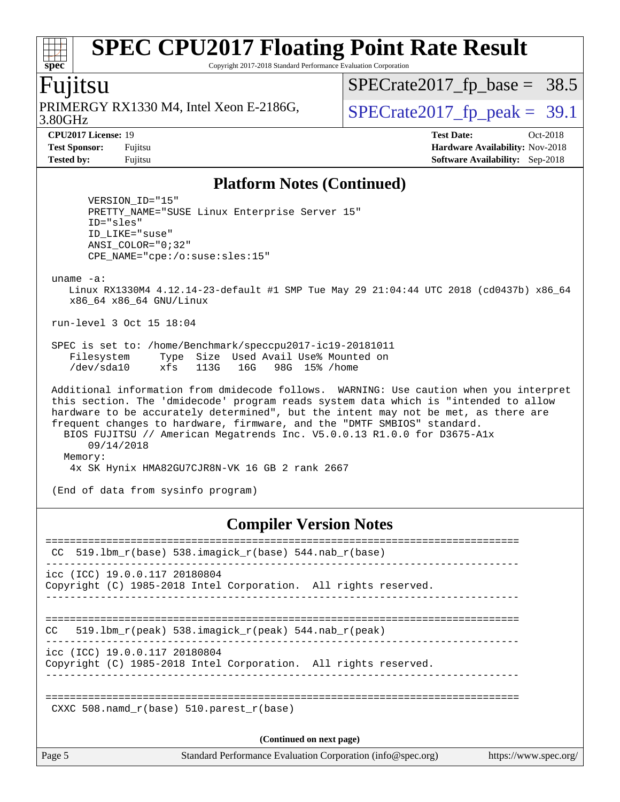Copyright 2017-2018 Standard Performance Evaluation Corporation

### Fujitsu

**[spec](http://www.spec.org/)**

3.80GHz PRIMERGY RX1330 M4, Intel Xeon E-2186G,  $\vert$  [SPECrate2017\\_fp\\_peak =](http://www.spec.org/auto/cpu2017/Docs/result-fields.html#SPECrate2017fppeak) 39.1

 $SPECrate2017_fp\_base = 38.5$ 

**[CPU2017 License:](http://www.spec.org/auto/cpu2017/Docs/result-fields.html#CPU2017License)** 19 **[Test Date:](http://www.spec.org/auto/cpu2017/Docs/result-fields.html#TestDate)** Oct-2018 **[Test Sponsor:](http://www.spec.org/auto/cpu2017/Docs/result-fields.html#TestSponsor)** Fujitsu **[Hardware Availability:](http://www.spec.org/auto/cpu2017/Docs/result-fields.html#HardwareAvailability)** Nov-2018 **[Tested by:](http://www.spec.org/auto/cpu2017/Docs/result-fields.html#Testedby)** Fujitsu **[Software Availability:](http://www.spec.org/auto/cpu2017/Docs/result-fields.html#SoftwareAvailability)** Sep-2018

#### **[Platform Notes \(Continued\)](http://www.spec.org/auto/cpu2017/Docs/result-fields.html#PlatformNotes)**

 VERSION\_ID="15" PRETTY\_NAME="SUSE Linux Enterprise Server 15" ID="sles" ID\_LIKE="suse" ANSI\_COLOR="0;32" CPE\_NAME="cpe:/o:suse:sles:15"

uname -a:

 Linux RX1330M4 4.12.14-23-default #1 SMP Tue May 29 21:04:44 UTC 2018 (cd0437b) x86\_64 x86\_64 x86\_64 GNU/Linux

run-level 3 Oct 15 18:04

 SPEC is set to: /home/Benchmark/speccpu2017-ic19-20181011 Filesystem Type Size Used Avail Use% Mounted on /dev/sda10 xfs 113G 16G 98G 15% /home

 Additional information from dmidecode follows. WARNING: Use caution when you interpret this section. The 'dmidecode' program reads system data which is "intended to allow hardware to be accurately determined", but the intent may not be met, as there are frequent changes to hardware, firmware, and the "DMTF SMBIOS" standard. BIOS FUJITSU // American Megatrends Inc. V5.0.0.13 R1.0.0 for D3675-A1x 09/14/2018 Memory: 4x SK Hynix HMA82GU7CJR8N-VK 16 GB 2 rank 2667

(End of data from sysinfo program)

#### **[Compiler Version Notes](http://www.spec.org/auto/cpu2017/Docs/result-fields.html#CompilerVersionNotes)**

| Page 5                                 | Standard Performance Evaluation Corporation (info@spec.org)     | https://www.spec.org/ |
|----------------------------------------|-----------------------------------------------------------------|-----------------------|
|                                        | (Continued on next page)                                        |                       |
|                                        | CXXC 508. namd $r(base)$ 510. parest $r(base)$                  |                       |
| icc (ICC) 19.0.0.117 20180804          | Copyright (C) 1985-2018 Intel Corporation. All rights reserved. |                       |
| CC.                                    | 519.1bm $r$ (peak) 538.imagick $r$ (peak) 544.nab $r$ (peak)    |                       |
| $\text{icc}$ (ICC) 19.0.0.117 20180804 | Copyright (C) 1985-2018 Intel Corporation. All rights reserved. |                       |
| CC.                                    | 519.1bm r(base) 538.imagick r(base) 544.nab r(base)             |                       |
|                                        |                                                                 |                       |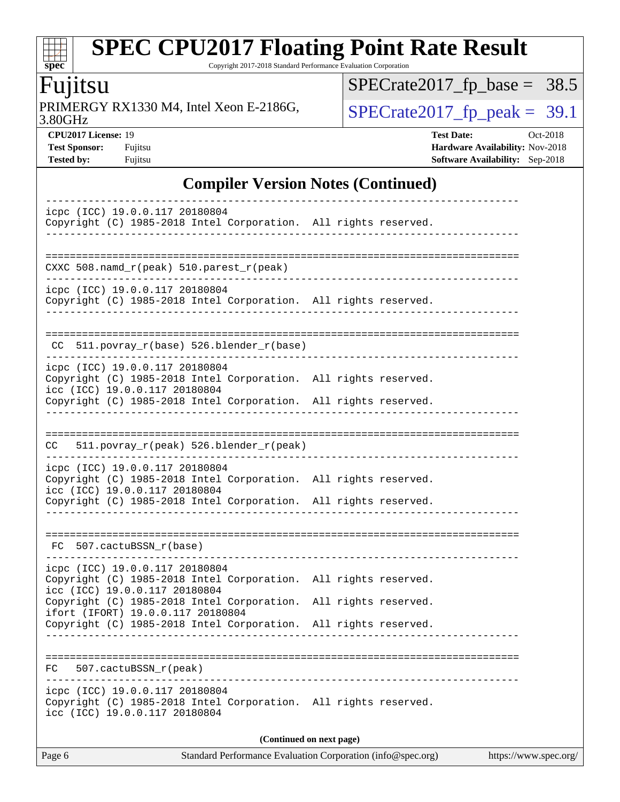Copyright 2017-2018 Standard Performance Evaluation Corporation

### Fujitsu

**[spec](http://www.spec.org/)**

 $+\ +$ 

3.80GHz PRIMERGY RX1330 M4, Intel Xeon E-2186G,  $\overline{SPECrate2017\_fp\_peak} = 39.1$ 

[SPECrate2017\\_fp\\_base =](http://www.spec.org/auto/cpu2017/Docs/result-fields.html#SPECrate2017fpbase) 38.5

**[CPU2017 License:](http://www.spec.org/auto/cpu2017/Docs/result-fields.html#CPU2017License)** 19 **[Test Date:](http://www.spec.org/auto/cpu2017/Docs/result-fields.html#TestDate)** Oct-2018 **[Test Sponsor:](http://www.spec.org/auto/cpu2017/Docs/result-fields.html#TestSponsor)** Fujitsu **[Hardware Availability:](http://www.spec.org/auto/cpu2017/Docs/result-fields.html#HardwareAvailability)** Nov-2018 **[Tested by:](http://www.spec.org/auto/cpu2017/Docs/result-fields.html#Testedby)** Fujitsu **[Software Availability:](http://www.spec.org/auto/cpu2017/Docs/result-fields.html#SoftwareAvailability)** Sep-2018

### **[Compiler Version Notes \(Continued\)](http://www.spec.org/auto/cpu2017/Docs/result-fields.html#CompilerVersionNotes)**

| icpc (ICC) 19.0.0.117 20180804<br>Copyright (C) 1985-2018 Intel Corporation. All rights reserved.                                                                                                     |                                                                            |  |  |  |  |
|-------------------------------------------------------------------------------------------------------------------------------------------------------------------------------------------------------|----------------------------------------------------------------------------|--|--|--|--|
| CXXC 508.namd_r(peak) 510.parest_r(peak)                                                                                                                                                              |                                                                            |  |  |  |  |
| icpc (ICC) 19.0.0.117 20180804<br>Copyright (C) 1985-2018 Intel Corporation. All rights reserved.                                                                                                     |                                                                            |  |  |  |  |
| CC 511.povray_r(base) 526.blender_r(base)                                                                                                                                                             |                                                                            |  |  |  |  |
| icpc (ICC) 19.0.0.117 20180804<br>Copyright (C) 1985-2018 Intel Corporation. All rights reserved.<br>icc (ICC) 19.0.0.117 20180804                                                                    |                                                                            |  |  |  |  |
| Copyright (C) 1985-2018 Intel Corporation. All rights reserved.                                                                                                                                       |                                                                            |  |  |  |  |
| 511.povray_r(peak) 526.blender_r(peak)<br>CC.                                                                                                                                                         |                                                                            |  |  |  |  |
| icpc (ICC) 19.0.0.117 20180804<br>Copyright (C) 1985-2018 Intel Corporation. All rights reserved.<br>icc (ICC) 19.0.0.117 20180804<br>Copyright (C) 1985-2018 Intel Corporation. All rights reserved. |                                                                            |  |  |  |  |
| FC 507.cactuBSSN_r(base)                                                                                                                                                                              |                                                                            |  |  |  |  |
| icpc (ICC) 19.0.0.117 20180804<br>Copyright (C) 1985-2018 Intel Corporation. All rights reserved.<br>icc (ICC) 19.0.0.117 20180804                                                                    |                                                                            |  |  |  |  |
| Copyright (C) 1985-2018 Intel Corporation. All rights reserved.<br>ifort (IFORT) 19.0.0.117 20180804<br>Copyright (C) 1985-2018 Intel Corporation. All rights reserved.                               |                                                                            |  |  |  |  |
| 507.cactuBSSN_r(peak)<br>FC.                                                                                                                                                                          |                                                                            |  |  |  |  |
| icpc (ICC) 19.0.0.117 20180804<br>Copyright (C) 1985-2018 Intel Corporation. All rights reserved.<br>icc (ICC) 19.0.0.117 20180804                                                                    |                                                                            |  |  |  |  |
| (Continued on next page)                                                                                                                                                                              |                                                                            |  |  |  |  |
| $D_{\alpha\alpha\alpha}$ $\zeta$                                                                                                                                                                      | Standard Darfarmanas Evaluation Companion (info@enee are) bttps://www.enee |  |  |  |  |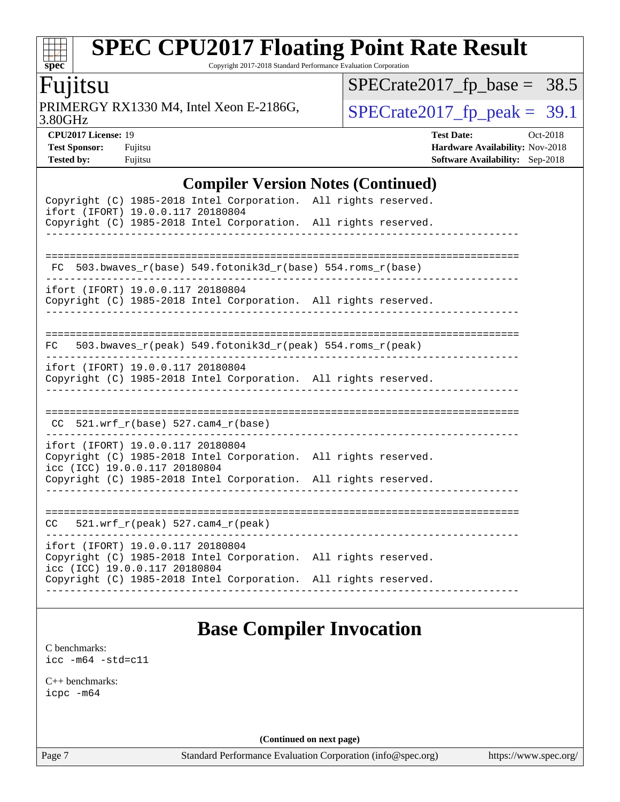Copyright 2017-2018 Standard Performance Evaluation Corporation

### Fujitsu

**[spec](http://www.spec.org/)**

dd h

3.80GHz PRIMERGY RX1330 M4, Intel Xeon E-2186G,  $\overline{SPECrate2017\_fp\_peak} = 39.1$ 

[SPECrate2017\\_fp\\_base =](http://www.spec.org/auto/cpu2017/Docs/result-fields.html#SPECrate2017fpbase) 38.5

**[Tested by:](http://www.spec.org/auto/cpu2017/Docs/result-fields.html#Testedby)** Fujitsu **[Software Availability:](http://www.spec.org/auto/cpu2017/Docs/result-fields.html#SoftwareAvailability)** Sep-2018

**[CPU2017 License:](http://www.spec.org/auto/cpu2017/Docs/result-fields.html#CPU2017License)** 19 **[Test Date:](http://www.spec.org/auto/cpu2017/Docs/result-fields.html#TestDate)** Oct-2018 **[Test Sponsor:](http://www.spec.org/auto/cpu2017/Docs/result-fields.html#TestSponsor)** Fujitsu **Fundal** Fujitsu **[Hardware Availability:](http://www.spec.org/auto/cpu2017/Docs/result-fields.html#HardwareAvailability)** Nov-2018

### **[Compiler Version Notes \(Continued\)](http://www.spec.org/auto/cpu2017/Docs/result-fields.html#CompilerVersionNotes)**

| Copyright (C) 1985-2018 Intel Corporation. All rights reserved.<br>ifort (IFORT) 19.0.0.117 20180804                                  |  |  |  |  |  |  |
|---------------------------------------------------------------------------------------------------------------------------------------|--|--|--|--|--|--|
| Copyright (C) 1985-2018 Intel Corporation. All rights reserved.                                                                       |  |  |  |  |  |  |
|                                                                                                                                       |  |  |  |  |  |  |
| FC 503.bwaves_r(base) 549.fotonik3d_r(base) 554.roms_r(base)                                                                          |  |  |  |  |  |  |
| ifort (IFORT) 19.0.0.117 20180804<br>Copyright (C) 1985-2018 Intel Corporation. All rights reserved.                                  |  |  |  |  |  |  |
| 503.bwaves_r(peak) 549.fotonik3d_r(peak) 554.roms_r(peak)<br>FC                                                                       |  |  |  |  |  |  |
| ifort (IFORT) 19.0.0.117 20180804<br>Copyright (C) 1985-2018 Intel Corporation. All rights reserved.                                  |  |  |  |  |  |  |
|                                                                                                                                       |  |  |  |  |  |  |
| $CC$ 521.wrf_r(base) 527.cam4_r(base)                                                                                                 |  |  |  |  |  |  |
| ifort (IFORT) 19.0.0.117 20180804<br>Copyright (C) 1985-2018 Intel Corporation. All rights reserved.<br>icc (ICC) 19.0.0.117 20180804 |  |  |  |  |  |  |
| Copyright (C) 1985-2018 Intel Corporation. All rights reserved.                                                                       |  |  |  |  |  |  |
|                                                                                                                                       |  |  |  |  |  |  |
| $521.wrf_r(peak) 527.cam4_r(peak)$<br>CC                                                                                              |  |  |  |  |  |  |
| ifort (IFORT) 19.0.0.117 20180804<br>Copyright (C) 1985-2018 Intel Corporation. All rights reserved.<br>icc (ICC) 19.0.0.117 20180804 |  |  |  |  |  |  |
| Copyright (C) 1985-2018 Intel Corporation. All rights reserved.                                                                       |  |  |  |  |  |  |
|                                                                                                                                       |  |  |  |  |  |  |

### **[Base Compiler Invocation](http://www.spec.org/auto/cpu2017/Docs/result-fields.html#BaseCompilerInvocation)**

[C benchmarks](http://www.spec.org/auto/cpu2017/Docs/result-fields.html#Cbenchmarks): [icc -m64 -std=c11](http://www.spec.org/cpu2017/results/res2018q4/cpu2017-20181030-09448.flags.html#user_CCbase_intel_icc_64bit_c11_33ee0cdaae7deeeab2a9725423ba97205ce30f63b9926c2519791662299b76a0318f32ddfffdc46587804de3178b4f9328c46fa7c2b0cd779d7a61945c91cd35)

[C++ benchmarks:](http://www.spec.org/auto/cpu2017/Docs/result-fields.html#CXXbenchmarks) [icpc -m64](http://www.spec.org/cpu2017/results/res2018q4/cpu2017-20181030-09448.flags.html#user_CXXbase_intel_icpc_64bit_4ecb2543ae3f1412ef961e0650ca070fec7b7afdcd6ed48761b84423119d1bf6bdf5cad15b44d48e7256388bc77273b966e5eb805aefd121eb22e9299b2ec9d9)

**(Continued on next page)**

Page 7 Standard Performance Evaluation Corporation [\(info@spec.org\)](mailto:info@spec.org) <https://www.spec.org/>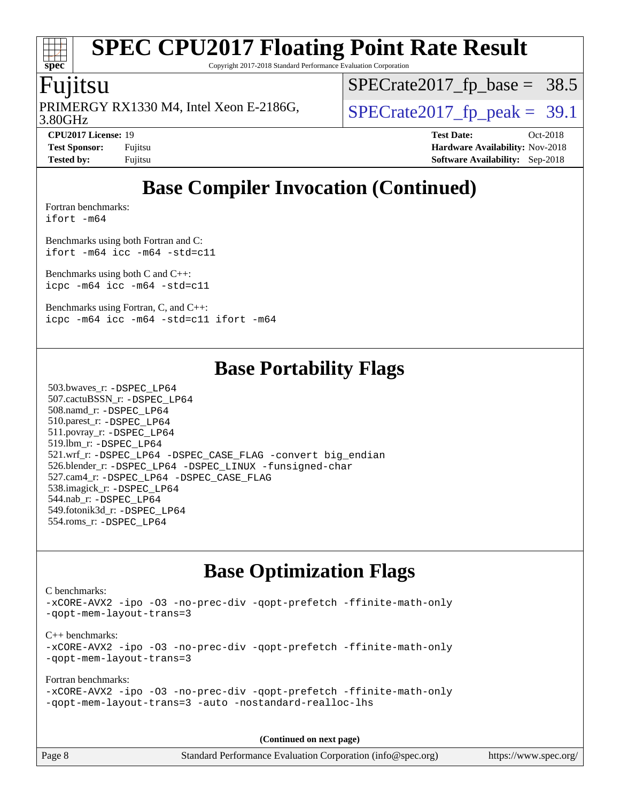# **[spec](http://www.spec.org/)**

## **[SPEC CPU2017 Floating Point Rate Result](http://www.spec.org/auto/cpu2017/Docs/result-fields.html#SPECCPU2017FloatingPointRateResult)**

Copyright 2017-2018 Standard Performance Evaluation Corporation

### Fujitsu

3.80GHz PRIMERGY RX1330 M4, Intel Xeon E-2186G,  $\vert$  [SPECrate2017\\_fp\\_peak =](http://www.spec.org/auto/cpu2017/Docs/result-fields.html#SPECrate2017fppeak) 39.1

 $SPECrate2017_fp\_base = 38.5$ 

**[Tested by:](http://www.spec.org/auto/cpu2017/Docs/result-fields.html#Testedby)** Fujitsu **[Software Availability:](http://www.spec.org/auto/cpu2017/Docs/result-fields.html#SoftwareAvailability)** Sep-2018

**[CPU2017 License:](http://www.spec.org/auto/cpu2017/Docs/result-fields.html#CPU2017License)** 19 **[Test Date:](http://www.spec.org/auto/cpu2017/Docs/result-fields.html#TestDate)** Oct-2018 **[Test Sponsor:](http://www.spec.org/auto/cpu2017/Docs/result-fields.html#TestSponsor)** Fujitsu **[Hardware Availability:](http://www.spec.org/auto/cpu2017/Docs/result-fields.html#HardwareAvailability)** Nov-2018

### **[Base Compiler Invocation \(Continued\)](http://www.spec.org/auto/cpu2017/Docs/result-fields.html#BaseCompilerInvocation)**

[Fortran benchmarks](http://www.spec.org/auto/cpu2017/Docs/result-fields.html#Fortranbenchmarks): [ifort -m64](http://www.spec.org/cpu2017/results/res2018q4/cpu2017-20181030-09448.flags.html#user_FCbase_intel_ifort_64bit_24f2bb282fbaeffd6157abe4f878425411749daecae9a33200eee2bee2fe76f3b89351d69a8130dd5949958ce389cf37ff59a95e7a40d588e8d3a57e0c3fd751)

[Benchmarks using both Fortran and C](http://www.spec.org/auto/cpu2017/Docs/result-fields.html#BenchmarksusingbothFortranandC): [ifort -m64](http://www.spec.org/cpu2017/results/res2018q4/cpu2017-20181030-09448.flags.html#user_CC_FCbase_intel_ifort_64bit_24f2bb282fbaeffd6157abe4f878425411749daecae9a33200eee2bee2fe76f3b89351d69a8130dd5949958ce389cf37ff59a95e7a40d588e8d3a57e0c3fd751) [icc -m64 -std=c11](http://www.spec.org/cpu2017/results/res2018q4/cpu2017-20181030-09448.flags.html#user_CC_FCbase_intel_icc_64bit_c11_33ee0cdaae7deeeab2a9725423ba97205ce30f63b9926c2519791662299b76a0318f32ddfffdc46587804de3178b4f9328c46fa7c2b0cd779d7a61945c91cd35)

[Benchmarks using both C and C++](http://www.spec.org/auto/cpu2017/Docs/result-fields.html#BenchmarksusingbothCandCXX): [icpc -m64](http://www.spec.org/cpu2017/results/res2018q4/cpu2017-20181030-09448.flags.html#user_CC_CXXbase_intel_icpc_64bit_4ecb2543ae3f1412ef961e0650ca070fec7b7afdcd6ed48761b84423119d1bf6bdf5cad15b44d48e7256388bc77273b966e5eb805aefd121eb22e9299b2ec9d9) [icc -m64 -std=c11](http://www.spec.org/cpu2017/results/res2018q4/cpu2017-20181030-09448.flags.html#user_CC_CXXbase_intel_icc_64bit_c11_33ee0cdaae7deeeab2a9725423ba97205ce30f63b9926c2519791662299b76a0318f32ddfffdc46587804de3178b4f9328c46fa7c2b0cd779d7a61945c91cd35)

[Benchmarks using Fortran, C, and C++:](http://www.spec.org/auto/cpu2017/Docs/result-fields.html#BenchmarksusingFortranCandCXX) [icpc -m64](http://www.spec.org/cpu2017/results/res2018q4/cpu2017-20181030-09448.flags.html#user_CC_CXX_FCbase_intel_icpc_64bit_4ecb2543ae3f1412ef961e0650ca070fec7b7afdcd6ed48761b84423119d1bf6bdf5cad15b44d48e7256388bc77273b966e5eb805aefd121eb22e9299b2ec9d9) [icc -m64 -std=c11](http://www.spec.org/cpu2017/results/res2018q4/cpu2017-20181030-09448.flags.html#user_CC_CXX_FCbase_intel_icc_64bit_c11_33ee0cdaae7deeeab2a9725423ba97205ce30f63b9926c2519791662299b76a0318f32ddfffdc46587804de3178b4f9328c46fa7c2b0cd779d7a61945c91cd35) [ifort -m64](http://www.spec.org/cpu2017/results/res2018q4/cpu2017-20181030-09448.flags.html#user_CC_CXX_FCbase_intel_ifort_64bit_24f2bb282fbaeffd6157abe4f878425411749daecae9a33200eee2bee2fe76f3b89351d69a8130dd5949958ce389cf37ff59a95e7a40d588e8d3a57e0c3fd751)

### **[Base Portability Flags](http://www.spec.org/auto/cpu2017/Docs/result-fields.html#BasePortabilityFlags)**

 503.bwaves\_r: [-DSPEC\\_LP64](http://www.spec.org/cpu2017/results/res2018q4/cpu2017-20181030-09448.flags.html#suite_basePORTABILITY503_bwaves_r_DSPEC_LP64) 507.cactuBSSN\_r: [-DSPEC\\_LP64](http://www.spec.org/cpu2017/results/res2018q4/cpu2017-20181030-09448.flags.html#suite_basePORTABILITY507_cactuBSSN_r_DSPEC_LP64) 508.namd\_r: [-DSPEC\\_LP64](http://www.spec.org/cpu2017/results/res2018q4/cpu2017-20181030-09448.flags.html#suite_basePORTABILITY508_namd_r_DSPEC_LP64) 510.parest\_r: [-DSPEC\\_LP64](http://www.spec.org/cpu2017/results/res2018q4/cpu2017-20181030-09448.flags.html#suite_basePORTABILITY510_parest_r_DSPEC_LP64) 511.povray\_r: [-DSPEC\\_LP64](http://www.spec.org/cpu2017/results/res2018q4/cpu2017-20181030-09448.flags.html#suite_basePORTABILITY511_povray_r_DSPEC_LP64) 519.lbm\_r: [-DSPEC\\_LP64](http://www.spec.org/cpu2017/results/res2018q4/cpu2017-20181030-09448.flags.html#suite_basePORTABILITY519_lbm_r_DSPEC_LP64) 521.wrf\_r: [-DSPEC\\_LP64](http://www.spec.org/cpu2017/results/res2018q4/cpu2017-20181030-09448.flags.html#suite_basePORTABILITY521_wrf_r_DSPEC_LP64) [-DSPEC\\_CASE\\_FLAG](http://www.spec.org/cpu2017/results/res2018q4/cpu2017-20181030-09448.flags.html#b521.wrf_r_baseCPORTABILITY_DSPEC_CASE_FLAG) [-convert big\\_endian](http://www.spec.org/cpu2017/results/res2018q4/cpu2017-20181030-09448.flags.html#user_baseFPORTABILITY521_wrf_r_convert_big_endian_c3194028bc08c63ac5d04de18c48ce6d347e4e562e8892b8bdbdc0214820426deb8554edfa529a3fb25a586e65a3d812c835984020483e7e73212c4d31a38223) 526.blender\_r: [-DSPEC\\_LP64](http://www.spec.org/cpu2017/results/res2018q4/cpu2017-20181030-09448.flags.html#suite_basePORTABILITY526_blender_r_DSPEC_LP64) [-DSPEC\\_LINUX](http://www.spec.org/cpu2017/results/res2018q4/cpu2017-20181030-09448.flags.html#b526.blender_r_baseCPORTABILITY_DSPEC_LINUX) [-funsigned-char](http://www.spec.org/cpu2017/results/res2018q4/cpu2017-20181030-09448.flags.html#user_baseCPORTABILITY526_blender_r_force_uchar_40c60f00ab013830e2dd6774aeded3ff59883ba5a1fc5fc14077f794d777847726e2a5858cbc7672e36e1b067e7e5c1d9a74f7176df07886a243d7cc18edfe67) 527.cam4\_r: [-DSPEC\\_LP64](http://www.spec.org/cpu2017/results/res2018q4/cpu2017-20181030-09448.flags.html#suite_basePORTABILITY527_cam4_r_DSPEC_LP64) [-DSPEC\\_CASE\\_FLAG](http://www.spec.org/cpu2017/results/res2018q4/cpu2017-20181030-09448.flags.html#b527.cam4_r_baseCPORTABILITY_DSPEC_CASE_FLAG) 538.imagick\_r: [-DSPEC\\_LP64](http://www.spec.org/cpu2017/results/res2018q4/cpu2017-20181030-09448.flags.html#suite_basePORTABILITY538_imagick_r_DSPEC_LP64) 544.nab\_r: [-DSPEC\\_LP64](http://www.spec.org/cpu2017/results/res2018q4/cpu2017-20181030-09448.flags.html#suite_basePORTABILITY544_nab_r_DSPEC_LP64) 549.fotonik3d\_r: [-DSPEC\\_LP64](http://www.spec.org/cpu2017/results/res2018q4/cpu2017-20181030-09448.flags.html#suite_basePORTABILITY549_fotonik3d_r_DSPEC_LP64) 554.roms\_r: [-DSPEC\\_LP64](http://www.spec.org/cpu2017/results/res2018q4/cpu2017-20181030-09448.flags.html#suite_basePORTABILITY554_roms_r_DSPEC_LP64)

### **[Base Optimization Flags](http://www.spec.org/auto/cpu2017/Docs/result-fields.html#BaseOptimizationFlags)**

[C benchmarks](http://www.spec.org/auto/cpu2017/Docs/result-fields.html#Cbenchmarks): [-xCORE-AVX2](http://www.spec.org/cpu2017/results/res2018q4/cpu2017-20181030-09448.flags.html#user_CCbase_f-xCORE-AVX2) [-ipo](http://www.spec.org/cpu2017/results/res2018q4/cpu2017-20181030-09448.flags.html#user_CCbase_f-ipo) [-O3](http://www.spec.org/cpu2017/results/res2018q4/cpu2017-20181030-09448.flags.html#user_CCbase_f-O3) [-no-prec-div](http://www.spec.org/cpu2017/results/res2018q4/cpu2017-20181030-09448.flags.html#user_CCbase_f-no-prec-div) [-qopt-prefetch](http://www.spec.org/cpu2017/results/res2018q4/cpu2017-20181030-09448.flags.html#user_CCbase_f-qopt-prefetch) [-ffinite-math-only](http://www.spec.org/cpu2017/results/res2018q4/cpu2017-20181030-09448.flags.html#user_CCbase_f_finite_math_only_cb91587bd2077682c4b38af759c288ed7c732db004271a9512da14a4f8007909a5f1427ecbf1a0fb78ff2a814402c6114ac565ca162485bbcae155b5e4258871) [-qopt-mem-layout-trans=3](http://www.spec.org/cpu2017/results/res2018q4/cpu2017-20181030-09448.flags.html#user_CCbase_f-qopt-mem-layout-trans_de80db37974c74b1f0e20d883f0b675c88c3b01e9d123adea9b28688d64333345fb62bc4a798493513fdb68f60282f9a726aa07f478b2f7113531aecce732043) [C++ benchmarks:](http://www.spec.org/auto/cpu2017/Docs/result-fields.html#CXXbenchmarks) [-xCORE-AVX2](http://www.spec.org/cpu2017/results/res2018q4/cpu2017-20181030-09448.flags.html#user_CXXbase_f-xCORE-AVX2) [-ipo](http://www.spec.org/cpu2017/results/res2018q4/cpu2017-20181030-09448.flags.html#user_CXXbase_f-ipo) [-O3](http://www.spec.org/cpu2017/results/res2018q4/cpu2017-20181030-09448.flags.html#user_CXXbase_f-O3) [-no-prec-div](http://www.spec.org/cpu2017/results/res2018q4/cpu2017-20181030-09448.flags.html#user_CXXbase_f-no-prec-div) [-qopt-prefetch](http://www.spec.org/cpu2017/results/res2018q4/cpu2017-20181030-09448.flags.html#user_CXXbase_f-qopt-prefetch) [-ffinite-math-only](http://www.spec.org/cpu2017/results/res2018q4/cpu2017-20181030-09448.flags.html#user_CXXbase_f_finite_math_only_cb91587bd2077682c4b38af759c288ed7c732db004271a9512da14a4f8007909a5f1427ecbf1a0fb78ff2a814402c6114ac565ca162485bbcae155b5e4258871) [-qopt-mem-layout-trans=3](http://www.spec.org/cpu2017/results/res2018q4/cpu2017-20181030-09448.flags.html#user_CXXbase_f-qopt-mem-layout-trans_de80db37974c74b1f0e20d883f0b675c88c3b01e9d123adea9b28688d64333345fb62bc4a798493513fdb68f60282f9a726aa07f478b2f7113531aecce732043) [Fortran benchmarks](http://www.spec.org/auto/cpu2017/Docs/result-fields.html#Fortranbenchmarks): [-xCORE-AVX2](http://www.spec.org/cpu2017/results/res2018q4/cpu2017-20181030-09448.flags.html#user_FCbase_f-xCORE-AVX2) [-ipo](http://www.spec.org/cpu2017/results/res2018q4/cpu2017-20181030-09448.flags.html#user_FCbase_f-ipo) [-O3](http://www.spec.org/cpu2017/results/res2018q4/cpu2017-20181030-09448.flags.html#user_FCbase_f-O3) [-no-prec-div](http://www.spec.org/cpu2017/results/res2018q4/cpu2017-20181030-09448.flags.html#user_FCbase_f-no-prec-div) [-qopt-prefetch](http://www.spec.org/cpu2017/results/res2018q4/cpu2017-20181030-09448.flags.html#user_FCbase_f-qopt-prefetch) [-ffinite-math-only](http://www.spec.org/cpu2017/results/res2018q4/cpu2017-20181030-09448.flags.html#user_FCbase_f_finite_math_only_cb91587bd2077682c4b38af759c288ed7c732db004271a9512da14a4f8007909a5f1427ecbf1a0fb78ff2a814402c6114ac565ca162485bbcae155b5e4258871) [-qopt-mem-layout-trans=3](http://www.spec.org/cpu2017/results/res2018q4/cpu2017-20181030-09448.flags.html#user_FCbase_f-qopt-mem-layout-trans_de80db37974c74b1f0e20d883f0b675c88c3b01e9d123adea9b28688d64333345fb62bc4a798493513fdb68f60282f9a726aa07f478b2f7113531aecce732043) [-auto](http://www.spec.org/cpu2017/results/res2018q4/cpu2017-20181030-09448.flags.html#user_FCbase_f-auto) [-nostandard-realloc-lhs](http://www.spec.org/cpu2017/results/res2018q4/cpu2017-20181030-09448.flags.html#user_FCbase_f_2003_std_realloc_82b4557e90729c0f113870c07e44d33d6f5a304b4f63d4c15d2d0f1fab99f5daaed73bdb9275d9ae411527f28b936061aa8b9c8f2d63842963b95c9dd6426b8a)

**(Continued on next page)**

Page 8 Standard Performance Evaluation Corporation [\(info@spec.org\)](mailto:info@spec.org) <https://www.spec.org/>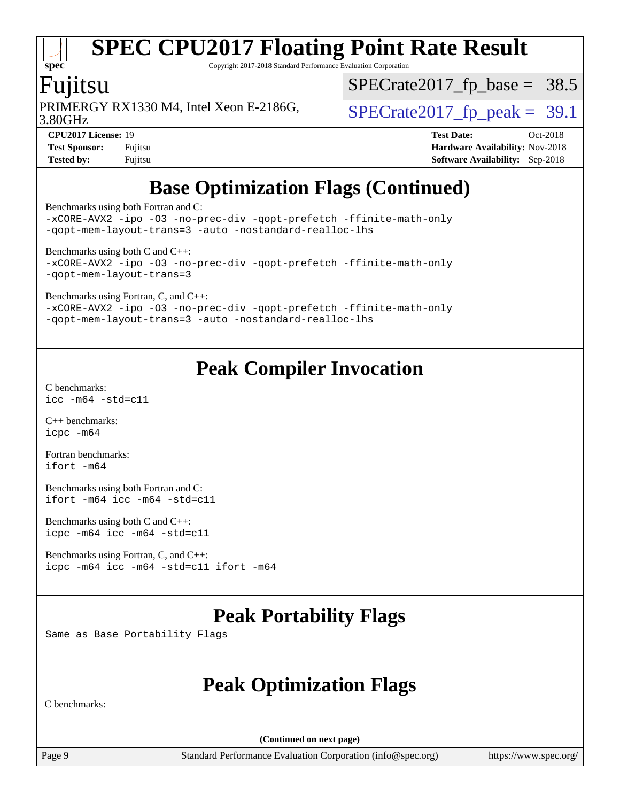# **[spec](http://www.spec.org/)**

## **[SPEC CPU2017 Floating Point Rate Result](http://www.spec.org/auto/cpu2017/Docs/result-fields.html#SPECCPU2017FloatingPointRateResult)**

Copyright 2017-2018 Standard Performance Evaluation Corporation

### Fujitsu

PRIMERGY RX1330 M4, Intel Xeon E-2186G,  $\vert$  [SPECrate2017\\_fp\\_peak =](http://www.spec.org/auto/cpu2017/Docs/result-fields.html#SPECrate2017fppeak) 39.1

 $SPECrate2017_fp\_base = 38.5$ 

3.80GHz

**[CPU2017 License:](http://www.spec.org/auto/cpu2017/Docs/result-fields.html#CPU2017License)** 19 **[Test Date:](http://www.spec.org/auto/cpu2017/Docs/result-fields.html#TestDate)** Oct-2018 **[Test Sponsor:](http://www.spec.org/auto/cpu2017/Docs/result-fields.html#TestSponsor)** Fujitsu **[Hardware Availability:](http://www.spec.org/auto/cpu2017/Docs/result-fields.html#HardwareAvailability)** Nov-2018 **[Tested by:](http://www.spec.org/auto/cpu2017/Docs/result-fields.html#Testedby)** Fujitsu **[Software Availability:](http://www.spec.org/auto/cpu2017/Docs/result-fields.html#SoftwareAvailability)** Sep-2018

### **[Base Optimization Flags \(Continued\)](http://www.spec.org/auto/cpu2017/Docs/result-fields.html#BaseOptimizationFlags)**

[Benchmarks using both Fortran and C](http://www.spec.org/auto/cpu2017/Docs/result-fields.html#BenchmarksusingbothFortranandC):

[-xCORE-AVX2](http://www.spec.org/cpu2017/results/res2018q4/cpu2017-20181030-09448.flags.html#user_CC_FCbase_f-xCORE-AVX2) [-ipo](http://www.spec.org/cpu2017/results/res2018q4/cpu2017-20181030-09448.flags.html#user_CC_FCbase_f-ipo) [-O3](http://www.spec.org/cpu2017/results/res2018q4/cpu2017-20181030-09448.flags.html#user_CC_FCbase_f-O3) [-no-prec-div](http://www.spec.org/cpu2017/results/res2018q4/cpu2017-20181030-09448.flags.html#user_CC_FCbase_f-no-prec-div) [-qopt-prefetch](http://www.spec.org/cpu2017/results/res2018q4/cpu2017-20181030-09448.flags.html#user_CC_FCbase_f-qopt-prefetch) [-ffinite-math-only](http://www.spec.org/cpu2017/results/res2018q4/cpu2017-20181030-09448.flags.html#user_CC_FCbase_f_finite_math_only_cb91587bd2077682c4b38af759c288ed7c732db004271a9512da14a4f8007909a5f1427ecbf1a0fb78ff2a814402c6114ac565ca162485bbcae155b5e4258871) [-qopt-mem-layout-trans=3](http://www.spec.org/cpu2017/results/res2018q4/cpu2017-20181030-09448.flags.html#user_CC_FCbase_f-qopt-mem-layout-trans_de80db37974c74b1f0e20d883f0b675c88c3b01e9d123adea9b28688d64333345fb62bc4a798493513fdb68f60282f9a726aa07f478b2f7113531aecce732043) [-auto](http://www.spec.org/cpu2017/results/res2018q4/cpu2017-20181030-09448.flags.html#user_CC_FCbase_f-auto) [-nostandard-realloc-lhs](http://www.spec.org/cpu2017/results/res2018q4/cpu2017-20181030-09448.flags.html#user_CC_FCbase_f_2003_std_realloc_82b4557e90729c0f113870c07e44d33d6f5a304b4f63d4c15d2d0f1fab99f5daaed73bdb9275d9ae411527f28b936061aa8b9c8f2d63842963b95c9dd6426b8a)

[Benchmarks using both C and C++](http://www.spec.org/auto/cpu2017/Docs/result-fields.html#BenchmarksusingbothCandCXX):

[-xCORE-AVX2](http://www.spec.org/cpu2017/results/res2018q4/cpu2017-20181030-09448.flags.html#user_CC_CXXbase_f-xCORE-AVX2) [-ipo](http://www.spec.org/cpu2017/results/res2018q4/cpu2017-20181030-09448.flags.html#user_CC_CXXbase_f-ipo) [-O3](http://www.spec.org/cpu2017/results/res2018q4/cpu2017-20181030-09448.flags.html#user_CC_CXXbase_f-O3) [-no-prec-div](http://www.spec.org/cpu2017/results/res2018q4/cpu2017-20181030-09448.flags.html#user_CC_CXXbase_f-no-prec-div) [-qopt-prefetch](http://www.spec.org/cpu2017/results/res2018q4/cpu2017-20181030-09448.flags.html#user_CC_CXXbase_f-qopt-prefetch) [-ffinite-math-only](http://www.spec.org/cpu2017/results/res2018q4/cpu2017-20181030-09448.flags.html#user_CC_CXXbase_f_finite_math_only_cb91587bd2077682c4b38af759c288ed7c732db004271a9512da14a4f8007909a5f1427ecbf1a0fb78ff2a814402c6114ac565ca162485bbcae155b5e4258871) [-qopt-mem-layout-trans=3](http://www.spec.org/cpu2017/results/res2018q4/cpu2017-20181030-09448.flags.html#user_CC_CXXbase_f-qopt-mem-layout-trans_de80db37974c74b1f0e20d883f0b675c88c3b01e9d123adea9b28688d64333345fb62bc4a798493513fdb68f60282f9a726aa07f478b2f7113531aecce732043)

[Benchmarks using Fortran, C, and C++:](http://www.spec.org/auto/cpu2017/Docs/result-fields.html#BenchmarksusingFortranCandCXX)

[-xCORE-AVX2](http://www.spec.org/cpu2017/results/res2018q4/cpu2017-20181030-09448.flags.html#user_CC_CXX_FCbase_f-xCORE-AVX2) [-ipo](http://www.spec.org/cpu2017/results/res2018q4/cpu2017-20181030-09448.flags.html#user_CC_CXX_FCbase_f-ipo) [-O3](http://www.spec.org/cpu2017/results/res2018q4/cpu2017-20181030-09448.flags.html#user_CC_CXX_FCbase_f-O3) [-no-prec-div](http://www.spec.org/cpu2017/results/res2018q4/cpu2017-20181030-09448.flags.html#user_CC_CXX_FCbase_f-no-prec-div) [-qopt-prefetch](http://www.spec.org/cpu2017/results/res2018q4/cpu2017-20181030-09448.flags.html#user_CC_CXX_FCbase_f-qopt-prefetch) [-ffinite-math-only](http://www.spec.org/cpu2017/results/res2018q4/cpu2017-20181030-09448.flags.html#user_CC_CXX_FCbase_f_finite_math_only_cb91587bd2077682c4b38af759c288ed7c732db004271a9512da14a4f8007909a5f1427ecbf1a0fb78ff2a814402c6114ac565ca162485bbcae155b5e4258871) [-qopt-mem-layout-trans=3](http://www.spec.org/cpu2017/results/res2018q4/cpu2017-20181030-09448.flags.html#user_CC_CXX_FCbase_f-qopt-mem-layout-trans_de80db37974c74b1f0e20d883f0b675c88c3b01e9d123adea9b28688d64333345fb62bc4a798493513fdb68f60282f9a726aa07f478b2f7113531aecce732043) [-auto](http://www.spec.org/cpu2017/results/res2018q4/cpu2017-20181030-09448.flags.html#user_CC_CXX_FCbase_f-auto) [-nostandard-realloc-lhs](http://www.spec.org/cpu2017/results/res2018q4/cpu2017-20181030-09448.flags.html#user_CC_CXX_FCbase_f_2003_std_realloc_82b4557e90729c0f113870c07e44d33d6f5a304b4f63d4c15d2d0f1fab99f5daaed73bdb9275d9ae411527f28b936061aa8b9c8f2d63842963b95c9dd6426b8a)

### **[Peak Compiler Invocation](http://www.spec.org/auto/cpu2017/Docs/result-fields.html#PeakCompilerInvocation)**

[C benchmarks](http://www.spec.org/auto/cpu2017/Docs/result-fields.html#Cbenchmarks): [icc -m64 -std=c11](http://www.spec.org/cpu2017/results/res2018q4/cpu2017-20181030-09448.flags.html#user_CCpeak_intel_icc_64bit_c11_33ee0cdaae7deeeab2a9725423ba97205ce30f63b9926c2519791662299b76a0318f32ddfffdc46587804de3178b4f9328c46fa7c2b0cd779d7a61945c91cd35)

[C++ benchmarks:](http://www.spec.org/auto/cpu2017/Docs/result-fields.html#CXXbenchmarks) [icpc -m64](http://www.spec.org/cpu2017/results/res2018q4/cpu2017-20181030-09448.flags.html#user_CXXpeak_intel_icpc_64bit_4ecb2543ae3f1412ef961e0650ca070fec7b7afdcd6ed48761b84423119d1bf6bdf5cad15b44d48e7256388bc77273b966e5eb805aefd121eb22e9299b2ec9d9)

[Fortran benchmarks](http://www.spec.org/auto/cpu2017/Docs/result-fields.html#Fortranbenchmarks): [ifort -m64](http://www.spec.org/cpu2017/results/res2018q4/cpu2017-20181030-09448.flags.html#user_FCpeak_intel_ifort_64bit_24f2bb282fbaeffd6157abe4f878425411749daecae9a33200eee2bee2fe76f3b89351d69a8130dd5949958ce389cf37ff59a95e7a40d588e8d3a57e0c3fd751)

[Benchmarks using both Fortran and C](http://www.spec.org/auto/cpu2017/Docs/result-fields.html#BenchmarksusingbothFortranandC): [ifort -m64](http://www.spec.org/cpu2017/results/res2018q4/cpu2017-20181030-09448.flags.html#user_CC_FCpeak_intel_ifort_64bit_24f2bb282fbaeffd6157abe4f878425411749daecae9a33200eee2bee2fe76f3b89351d69a8130dd5949958ce389cf37ff59a95e7a40d588e8d3a57e0c3fd751) [icc -m64 -std=c11](http://www.spec.org/cpu2017/results/res2018q4/cpu2017-20181030-09448.flags.html#user_CC_FCpeak_intel_icc_64bit_c11_33ee0cdaae7deeeab2a9725423ba97205ce30f63b9926c2519791662299b76a0318f32ddfffdc46587804de3178b4f9328c46fa7c2b0cd779d7a61945c91cd35)

[Benchmarks using both C and C++](http://www.spec.org/auto/cpu2017/Docs/result-fields.html#BenchmarksusingbothCandCXX): [icpc -m64](http://www.spec.org/cpu2017/results/res2018q4/cpu2017-20181030-09448.flags.html#user_CC_CXXpeak_intel_icpc_64bit_4ecb2543ae3f1412ef961e0650ca070fec7b7afdcd6ed48761b84423119d1bf6bdf5cad15b44d48e7256388bc77273b966e5eb805aefd121eb22e9299b2ec9d9) [icc -m64 -std=c11](http://www.spec.org/cpu2017/results/res2018q4/cpu2017-20181030-09448.flags.html#user_CC_CXXpeak_intel_icc_64bit_c11_33ee0cdaae7deeeab2a9725423ba97205ce30f63b9926c2519791662299b76a0318f32ddfffdc46587804de3178b4f9328c46fa7c2b0cd779d7a61945c91cd35)

[Benchmarks using Fortran, C, and C++:](http://www.spec.org/auto/cpu2017/Docs/result-fields.html#BenchmarksusingFortranCandCXX) [icpc -m64](http://www.spec.org/cpu2017/results/res2018q4/cpu2017-20181030-09448.flags.html#user_CC_CXX_FCpeak_intel_icpc_64bit_4ecb2543ae3f1412ef961e0650ca070fec7b7afdcd6ed48761b84423119d1bf6bdf5cad15b44d48e7256388bc77273b966e5eb805aefd121eb22e9299b2ec9d9) [icc -m64 -std=c11](http://www.spec.org/cpu2017/results/res2018q4/cpu2017-20181030-09448.flags.html#user_CC_CXX_FCpeak_intel_icc_64bit_c11_33ee0cdaae7deeeab2a9725423ba97205ce30f63b9926c2519791662299b76a0318f32ddfffdc46587804de3178b4f9328c46fa7c2b0cd779d7a61945c91cd35) [ifort -m64](http://www.spec.org/cpu2017/results/res2018q4/cpu2017-20181030-09448.flags.html#user_CC_CXX_FCpeak_intel_ifort_64bit_24f2bb282fbaeffd6157abe4f878425411749daecae9a33200eee2bee2fe76f3b89351d69a8130dd5949958ce389cf37ff59a95e7a40d588e8d3a57e0c3fd751)

### **[Peak Portability Flags](http://www.spec.org/auto/cpu2017/Docs/result-fields.html#PeakPortabilityFlags)**

Same as Base Portability Flags

### **[Peak Optimization Flags](http://www.spec.org/auto/cpu2017/Docs/result-fields.html#PeakOptimizationFlags)**

[C benchmarks:](http://www.spec.org/auto/cpu2017/Docs/result-fields.html#Cbenchmarks)

**(Continued on next page)**

Page 9 Standard Performance Evaluation Corporation [\(info@spec.org\)](mailto:info@spec.org) <https://www.spec.org/>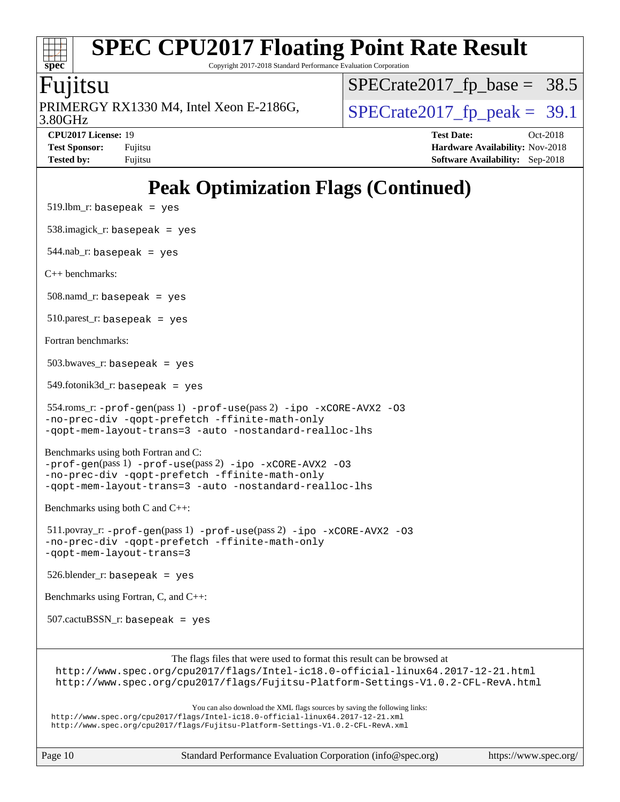Copyright 2017-2018 Standard Performance Evaluation Corporation

### Fujitsu

**[spec](http://www.spec.org/)**

3.80GHz PRIMERGY RX1330 M4, Intel Xeon E-2186G,  $\vert$  [SPECrate2017\\_fp\\_peak =](http://www.spec.org/auto/cpu2017/Docs/result-fields.html#SPECrate2017fppeak) 39.1

 $SPECTate2017_fp\_base = 38.5$ 

**[Tested by:](http://www.spec.org/auto/cpu2017/Docs/result-fields.html#Testedby)** Fujitsu **[Software Availability:](http://www.spec.org/auto/cpu2017/Docs/result-fields.html#SoftwareAvailability)** Sep-2018

**[CPU2017 License:](http://www.spec.org/auto/cpu2017/Docs/result-fields.html#CPU2017License)** 19 **[Test Date:](http://www.spec.org/auto/cpu2017/Docs/result-fields.html#TestDate)** Oct-2018 **[Test Sponsor:](http://www.spec.org/auto/cpu2017/Docs/result-fields.html#TestSponsor)** Fujitsu **Fundal** Fujitsu **[Hardware Availability:](http://www.spec.org/auto/cpu2017/Docs/result-fields.html#HardwareAvailability)** Nov-2018

## **[Peak Optimization Flags \(Continued\)](http://www.spec.org/auto/cpu2017/Docs/result-fields.html#PeakOptimizationFlags)**

 $519.$ lbm\_r: basepeak = yes 538.imagick\_r: basepeak = yes 544.nab\_r: basepeak = yes [C++ benchmarks:](http://www.spec.org/auto/cpu2017/Docs/result-fields.html#CXXbenchmarks)  $508$ .namd\_r: basepeak = yes 510.parest\_r: basepeak = yes [Fortran benchmarks](http://www.spec.org/auto/cpu2017/Docs/result-fields.html#Fortranbenchmarks):  $503.bwaves$  r: basepeak = yes 549.fotonik3d\_r: basepeak = yes 554.roms\_r: [-prof-gen](http://www.spec.org/cpu2017/results/res2018q4/cpu2017-20181030-09448.flags.html#user_peakPASS1_FFLAGSPASS1_LDFLAGS554_roms_r_prof_gen_5aa4926d6013ddb2a31985c654b3eb18169fc0c6952a63635c234f711e6e63dd76e94ad52365559451ec499a2cdb89e4dc58ba4c67ef54ca681ffbe1461d6b36)(pass 1) [-prof-use](http://www.spec.org/cpu2017/results/res2018q4/cpu2017-20181030-09448.flags.html#user_peakPASS2_FFLAGSPASS2_LDFLAGS554_roms_r_prof_use_1a21ceae95f36a2b53c25747139a6c16ca95bd9def2a207b4f0849963b97e94f5260e30a0c64f4bb623698870e679ca08317ef8150905d41bd88c6f78df73f19)(pass 2) [-ipo](http://www.spec.org/cpu2017/results/res2018q4/cpu2017-20181030-09448.flags.html#user_peakPASS1_FOPTIMIZEPASS2_FOPTIMIZE554_roms_r_f-ipo) [-xCORE-AVX2](http://www.spec.org/cpu2017/results/res2018q4/cpu2017-20181030-09448.flags.html#user_peakPASS2_FOPTIMIZE554_roms_r_f-xCORE-AVX2) [-O3](http://www.spec.org/cpu2017/results/res2018q4/cpu2017-20181030-09448.flags.html#user_peakPASS1_FOPTIMIZEPASS2_FOPTIMIZE554_roms_r_f-O3) [-no-prec-div](http://www.spec.org/cpu2017/results/res2018q4/cpu2017-20181030-09448.flags.html#user_peakPASS1_FOPTIMIZEPASS2_FOPTIMIZE554_roms_r_f-no-prec-div) [-qopt-prefetch](http://www.spec.org/cpu2017/results/res2018q4/cpu2017-20181030-09448.flags.html#user_peakPASS1_FOPTIMIZEPASS2_FOPTIMIZE554_roms_r_f-qopt-prefetch) [-ffinite-math-only](http://www.spec.org/cpu2017/results/res2018q4/cpu2017-20181030-09448.flags.html#user_peakPASS1_FOPTIMIZEPASS2_FOPTIMIZE554_roms_r_f_finite_math_only_cb91587bd2077682c4b38af759c288ed7c732db004271a9512da14a4f8007909a5f1427ecbf1a0fb78ff2a814402c6114ac565ca162485bbcae155b5e4258871) [-qopt-mem-layout-trans=3](http://www.spec.org/cpu2017/results/res2018q4/cpu2017-20181030-09448.flags.html#user_peakPASS1_FOPTIMIZEPASS2_FOPTIMIZE554_roms_r_f-qopt-mem-layout-trans_de80db37974c74b1f0e20d883f0b675c88c3b01e9d123adea9b28688d64333345fb62bc4a798493513fdb68f60282f9a726aa07f478b2f7113531aecce732043) [-auto](http://www.spec.org/cpu2017/results/res2018q4/cpu2017-20181030-09448.flags.html#user_peakPASS2_FOPTIMIZE554_roms_r_f-auto) [-nostandard-realloc-lhs](http://www.spec.org/cpu2017/results/res2018q4/cpu2017-20181030-09448.flags.html#user_peakEXTRA_FOPTIMIZE554_roms_r_f_2003_std_realloc_82b4557e90729c0f113870c07e44d33d6f5a304b4f63d4c15d2d0f1fab99f5daaed73bdb9275d9ae411527f28b936061aa8b9c8f2d63842963b95c9dd6426b8a) [Benchmarks using both Fortran and C:](http://www.spec.org/auto/cpu2017/Docs/result-fields.html#BenchmarksusingbothFortranandC) [-prof-gen](http://www.spec.org/cpu2017/results/res2018q4/cpu2017-20181030-09448.flags.html#user_CC_FCpeak_prof_gen_5aa4926d6013ddb2a31985c654b3eb18169fc0c6952a63635c234f711e6e63dd76e94ad52365559451ec499a2cdb89e4dc58ba4c67ef54ca681ffbe1461d6b36)(pass 1) [-prof-use](http://www.spec.org/cpu2017/results/res2018q4/cpu2017-20181030-09448.flags.html#user_CC_FCpeak_prof_use_1a21ceae95f36a2b53c25747139a6c16ca95bd9def2a207b4f0849963b97e94f5260e30a0c64f4bb623698870e679ca08317ef8150905d41bd88c6f78df73f19)(pass 2) [-ipo](http://www.spec.org/cpu2017/results/res2018q4/cpu2017-20181030-09448.flags.html#user_CC_FCpeak_f-ipo) [-xCORE-AVX2](http://www.spec.org/cpu2017/results/res2018q4/cpu2017-20181030-09448.flags.html#user_CC_FCpeak_f-xCORE-AVX2) [-O3](http://www.spec.org/cpu2017/results/res2018q4/cpu2017-20181030-09448.flags.html#user_CC_FCpeak_f-O3) [-no-prec-div](http://www.spec.org/cpu2017/results/res2018q4/cpu2017-20181030-09448.flags.html#user_CC_FCpeak_f-no-prec-div) [-qopt-prefetch](http://www.spec.org/cpu2017/results/res2018q4/cpu2017-20181030-09448.flags.html#user_CC_FCpeak_f-qopt-prefetch) [-ffinite-math-only](http://www.spec.org/cpu2017/results/res2018q4/cpu2017-20181030-09448.flags.html#user_CC_FCpeak_f_finite_math_only_cb91587bd2077682c4b38af759c288ed7c732db004271a9512da14a4f8007909a5f1427ecbf1a0fb78ff2a814402c6114ac565ca162485bbcae155b5e4258871) [-qopt-mem-layout-trans=3](http://www.spec.org/cpu2017/results/res2018q4/cpu2017-20181030-09448.flags.html#user_CC_FCpeak_f-qopt-mem-layout-trans_de80db37974c74b1f0e20d883f0b675c88c3b01e9d123adea9b28688d64333345fb62bc4a798493513fdb68f60282f9a726aa07f478b2f7113531aecce732043) [-auto](http://www.spec.org/cpu2017/results/res2018q4/cpu2017-20181030-09448.flags.html#user_CC_FCpeak_f-auto) [-nostandard-realloc-lhs](http://www.spec.org/cpu2017/results/res2018q4/cpu2017-20181030-09448.flags.html#user_CC_FCpeak_f_2003_std_realloc_82b4557e90729c0f113870c07e44d33d6f5a304b4f63d4c15d2d0f1fab99f5daaed73bdb9275d9ae411527f28b936061aa8b9c8f2d63842963b95c9dd6426b8a) [Benchmarks using both C and C++](http://www.spec.org/auto/cpu2017/Docs/result-fields.html#BenchmarksusingbothCandCXX): 511.povray\_r: [-prof-gen](http://www.spec.org/cpu2017/results/res2018q4/cpu2017-20181030-09448.flags.html#user_peakPASS1_CFLAGSPASS1_CXXFLAGSPASS1_LDFLAGS511_povray_r_prof_gen_5aa4926d6013ddb2a31985c654b3eb18169fc0c6952a63635c234f711e6e63dd76e94ad52365559451ec499a2cdb89e4dc58ba4c67ef54ca681ffbe1461d6b36)(pass 1) [-prof-use](http://www.spec.org/cpu2017/results/res2018q4/cpu2017-20181030-09448.flags.html#user_peakPASS2_CFLAGSPASS2_CXXFLAGSPASS2_LDFLAGS511_povray_r_prof_use_1a21ceae95f36a2b53c25747139a6c16ca95bd9def2a207b4f0849963b97e94f5260e30a0c64f4bb623698870e679ca08317ef8150905d41bd88c6f78df73f19)(pass 2) [-ipo](http://www.spec.org/cpu2017/results/res2018q4/cpu2017-20181030-09448.flags.html#user_peakPASS1_COPTIMIZEPASS1_CXXOPTIMIZEPASS2_COPTIMIZEPASS2_CXXOPTIMIZE511_povray_r_f-ipo) [-xCORE-AVX2](http://www.spec.org/cpu2017/results/res2018q4/cpu2017-20181030-09448.flags.html#user_peakPASS2_COPTIMIZEPASS2_CXXOPTIMIZE511_povray_r_f-xCORE-AVX2) [-O3](http://www.spec.org/cpu2017/results/res2018q4/cpu2017-20181030-09448.flags.html#user_peakPASS1_COPTIMIZEPASS1_CXXOPTIMIZEPASS2_COPTIMIZEPASS2_CXXOPTIMIZE511_povray_r_f-O3) [-no-prec-div](http://www.spec.org/cpu2017/results/res2018q4/cpu2017-20181030-09448.flags.html#user_peakPASS1_COPTIMIZEPASS1_CXXOPTIMIZEPASS2_COPTIMIZEPASS2_CXXOPTIMIZE511_povray_r_f-no-prec-div) [-qopt-prefetch](http://www.spec.org/cpu2017/results/res2018q4/cpu2017-20181030-09448.flags.html#user_peakPASS1_COPTIMIZEPASS1_CXXOPTIMIZEPASS2_COPTIMIZEPASS2_CXXOPTIMIZE511_povray_r_f-qopt-prefetch) [-ffinite-math-only](http://www.spec.org/cpu2017/results/res2018q4/cpu2017-20181030-09448.flags.html#user_peakPASS1_COPTIMIZEPASS1_CXXOPTIMIZEPASS2_COPTIMIZEPASS2_CXXOPTIMIZE511_povray_r_f_finite_math_only_cb91587bd2077682c4b38af759c288ed7c732db004271a9512da14a4f8007909a5f1427ecbf1a0fb78ff2a814402c6114ac565ca162485bbcae155b5e4258871) [-qopt-mem-layout-trans=3](http://www.spec.org/cpu2017/results/res2018q4/cpu2017-20181030-09448.flags.html#user_peakPASS1_COPTIMIZEPASS1_CXXOPTIMIZEPASS2_COPTIMIZEPASS2_CXXOPTIMIZE511_povray_r_f-qopt-mem-layout-trans_de80db37974c74b1f0e20d883f0b675c88c3b01e9d123adea9b28688d64333345fb62bc4a798493513fdb68f60282f9a726aa07f478b2f7113531aecce732043) 526.blender\_r: basepeak = yes [Benchmarks using Fortran, C, and C++:](http://www.spec.org/auto/cpu2017/Docs/result-fields.html#BenchmarksusingFortranCandCXX) 507.cactuBSSN\_r: basepeak = yes The flags files that were used to format this result can be browsed at <http://www.spec.org/cpu2017/flags/Intel-ic18.0-official-linux64.2017-12-21.html> <http://www.spec.org/cpu2017/flags/Fujitsu-Platform-Settings-V1.0.2-CFL-RevA.html> You can also download the XML flags sources by saving the following links: <http://www.spec.org/cpu2017/flags/Intel-ic18.0-official-linux64.2017-12-21.xml> <http://www.spec.org/cpu2017/flags/Fujitsu-Platform-Settings-V1.0.2-CFL-RevA.xml>